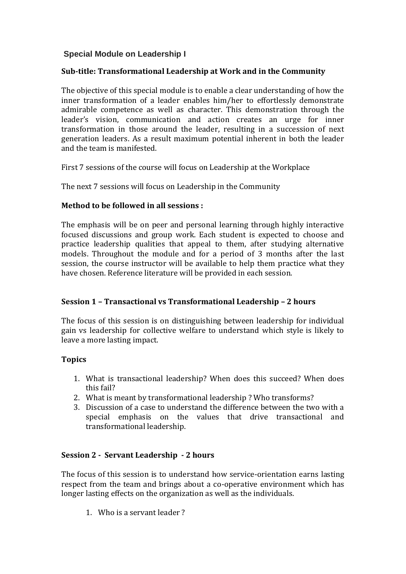# **Special Module on Leadership I**

### **Sub-title: Transformational Leadership at Work and in the Community**

The objective of this special module is to enable a clear understanding of how the inner transformation of a leader enables him/her to effortlessly demonstrate admirable competence as well as character. This demonstration through the leader's vision, communication and action creates an urge for inner transformation in those around the leader, resulting in a succession of next generation leaders. As a result maximum potential inherent in both the leader and the team is manifested.

First 7 sessions of the course will focus on Leadership at the Workplace

The next 7 sessions will focus on Leadership in the Community

### **Method to be followed in all sessions :**

The emphasis will be on peer and personal learning through highly interactive focused discussions and group work. Each student is expected to choose and practice leadership qualities that appeal to them, after studying alternative models. Throughout the module and for a period of 3 months after the last session, the course instructor will be available to help them practice what they have chosen. Reference literature will be provided in each session.

## **Session 1 – Transactional vs Transformational Leadership – 2 hours**

The focus of this session is on distinguishing between leadership for individual gain vs leadership for collective welfare to understand which style is likely to leave a more lasting impact.

### **Topics**

- 1. What is transactional leadership? When does this succeed? When does this fail?
- 2. What is meant by transformational leadership ? Who transforms?
- 3. Discussion of a case to understand the difference between the two with a special emphasis on the values that drive transactional and transformational leadership.

## **Session 2 - Servant Leadership - 2 hours**

The focus of this session is to understand how service-orientation earns lasting respect from the team and brings about a co-operative environment which has longer lasting effects on the organization as well as the individuals.

1. Who is a servant leader ?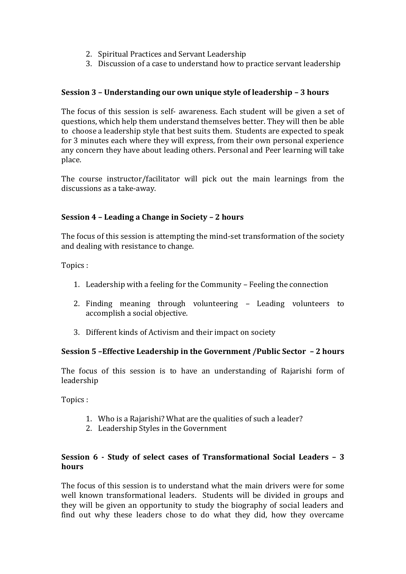- 2. Spiritual Practices and Servant Leadership
- 3. Discussion of a case to understand how to practice servant leadership

### **Session 3 – Understanding our own unique style of leadership – 3 hours**

The focus of this session is self- awareness. Each student will be given a set of questions, which help them understand themselves better. They will then be able to choose a leadership style that best suits them. Students are expected to speak for 3 minutes each where they will express, from their own personal experience any concern they have about leading others. Personal and Peer learning will take place.

The course instructor/facilitator will pick out the main learnings from the discussions as a take-away.

### **Session 4 – Leading a Change in Society – 2 hours**

The focus of this session is attempting the mind-set transformation of the society and dealing with resistance to change.

Topics :

- 1. Leadership with a feeling for the Community Feeling the connection
- 2. Finding meaning through volunteering Leading volunteers to accomplish a social objective.
- 3. Different kinds of Activism and their impact on society

### **Session 5 –Effective Leadership in the Government /Public Sector – 2 hours**

The focus of this session is to have an understanding of Rajarishi form of leadership

Topics :

- 1. Who is a Rajarishi? What are the qualities of such a leader?
- 2. Leadership Styles in the Government

### **Session 6 - Study of select cases of Transformational Social Leaders – 3 hours**

The focus of this session is to understand what the main drivers were for some well known transformational leaders. Students will be divided in groups and they will be given an opportunity to study the biography of social leaders and find out why these leaders chose to do what they did, how they overcame